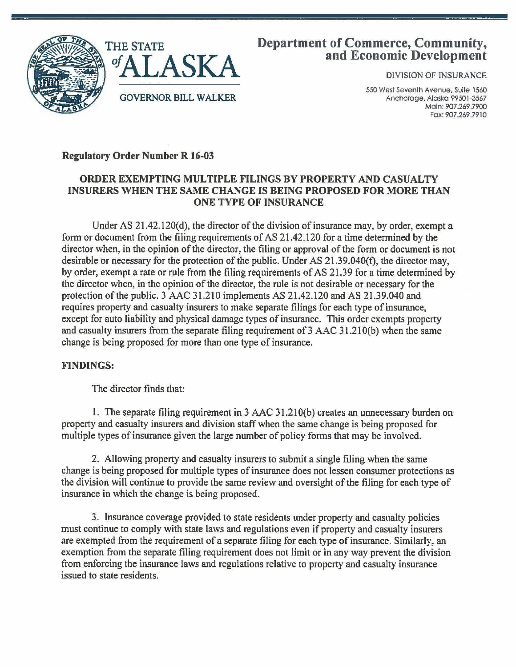



# Department of Commerce, Community, and Economic Development

DIVISION OF INSURANCE

550 West Seventh Avenue, Suite 1560 Anchorage, Alaska 99501 -3567 Main: 907.269.7900 Fox: 907.269.7910

## Regulatory Order Number R 16-03

### ORDER EXEMPTING MULTIPLE FILINGS BY PROPERTY AND CASUALTY INSURERS WHEN THE SAME CHANGE IS BEING PROPOSED FOR MORE THAN ONE TYPE OF INSURANCE

Under AS 21.42.120(d), the director of the division of insurance may, by order, exempt a form or document from the filing requirements of AS 21.42.120 for a time determined by the director when, in the opinion of the director, the filing or approval of the form or document is not desirable or necessary for the protection of the public. Under AS 21.39.040(f), the director may, by order, exempt a rate or rule from the filing requirements of AS 21.39 for a time determined by the director when, in the opinion of the director, the rule is not desirable or necessary for the protection of the public. 3 AAC 31.210 implements AS 21.42.120 and AS 21.39.040 and requires property and casualty insurers to make separate filings for each type of insurance, except for auto liability and physical damage types of insurance. This order exempts property and casualty insurers from the separate filing requirement of 3 AAC 31.21 O(b) when the same change is being proposed for more than one type of insurance.

### FINDINGS:

The director finds that:

1. The separate filing requirement in 3 AAC 31.21 O(b) creates an unnecessary burden on property and casualty insurers and division staff when the same change is being proposed for multiple types of insurance given the large number of policy forms that may be involved.

2. Allowing property and casualty insurers to submit a single filing when the same change is being proposed for multiple types of insurance does not lessen consumer protections as the division will continue to provide the same review and oversight of the filing for each type of insurance in which the change is being proposed.

3. Insurance coverage provided to state residents under property and casualty policies must continue to comply with state laws and regulations even if property and casualty insurers are exempted from the requirement of a separate filing for each type of insurance. Similarly, an exemption from the separate filing requirement does not limit or in any way prevent the division from enforcing the insurance laws and regulations relative to property and casualty insurance issued to state residents.